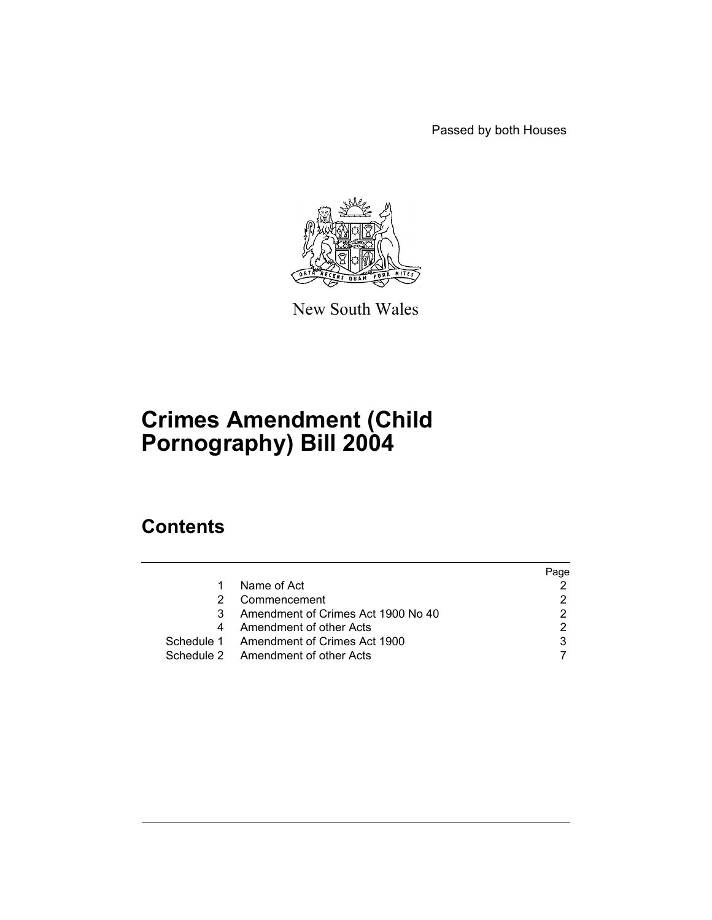Passed by both Houses



New South Wales

# **Crimes Amendment (Child Pornography) Bill 2004**

## **Contents**

|   |                                         | Page |
|---|-----------------------------------------|------|
|   | Name of Act                             |      |
|   | Commencement                            |      |
| 3 | Amendment of Crimes Act 1900 No 40      |      |
| 4 | Amendment of other Acts                 |      |
|   | Schedule 1 Amendment of Crimes Act 1900 |      |
|   | Schedule 2 Amendment of other Acts      |      |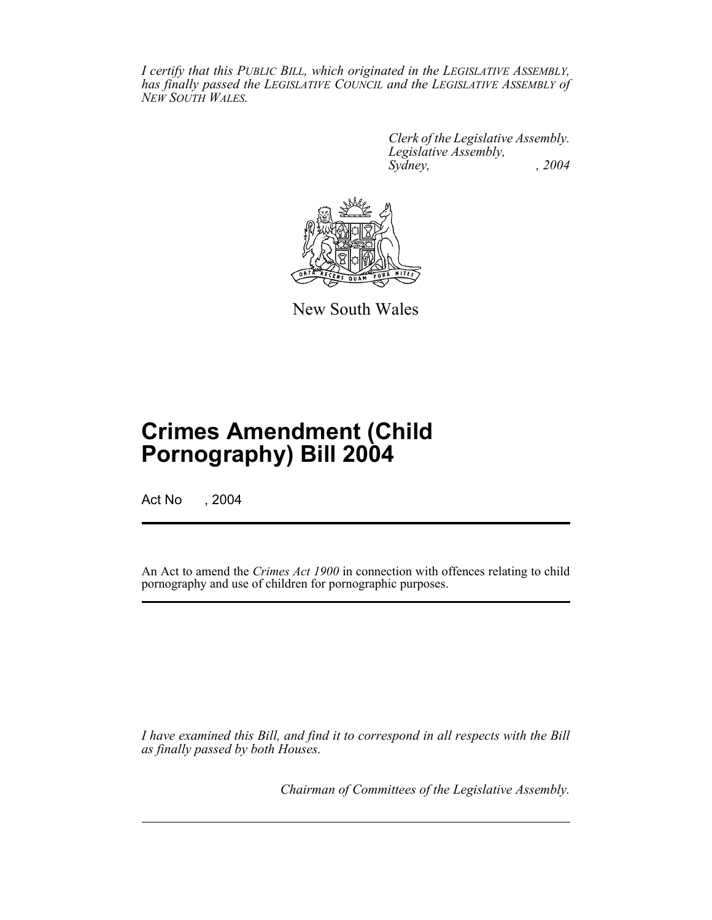*I certify that this PUBLIC BILL, which originated in the LEGISLATIVE ASSEMBLY, has finally passed the LEGISLATIVE COUNCIL and the LEGISLATIVE ASSEMBLY of NEW SOUTH WALES.*

> *Clerk of the Legislative Assembly. Legislative Assembly, Sydney, , 2004*



New South Wales

# **Crimes Amendment (Child Pornography) Bill 2004**

Act No , 2004

An Act to amend the *Crimes Act 1900* in connection with offences relating to child pornography and use of children for pornographic purposes.

*I have examined this Bill, and find it to correspond in all respects with the Bill as finally passed by both Houses.*

*Chairman of Committees of the Legislative Assembly.*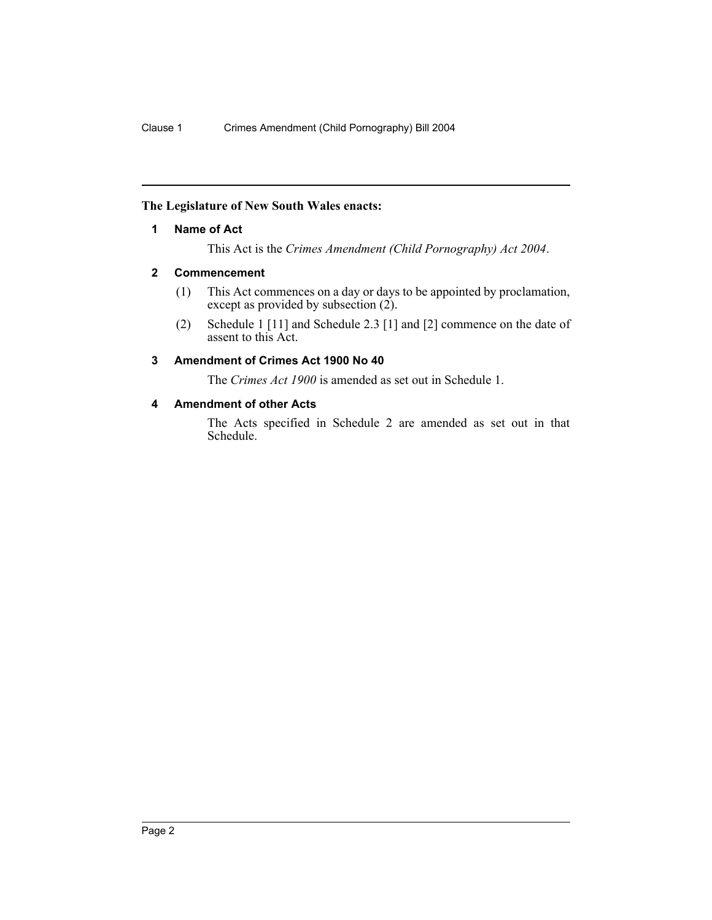#### **The Legislature of New South Wales enacts:**

#### **1 Name of Act**

This Act is the *Crimes Amendment (Child Pornography) Act 2004*.

#### **2 Commencement**

- (1) This Act commences on a day or days to be appointed by proclamation, except as provided by subsection (2).
- (2) Schedule 1 [11] and Schedule 2.3 [1] and [2] commence on the date of assent to this Act.

#### **3 Amendment of Crimes Act 1900 No 40**

The *Crimes Act 1900* is amended as set out in Schedule 1.

#### **4 Amendment of other Acts**

The Acts specified in Schedule 2 are amended as set out in that Schedule.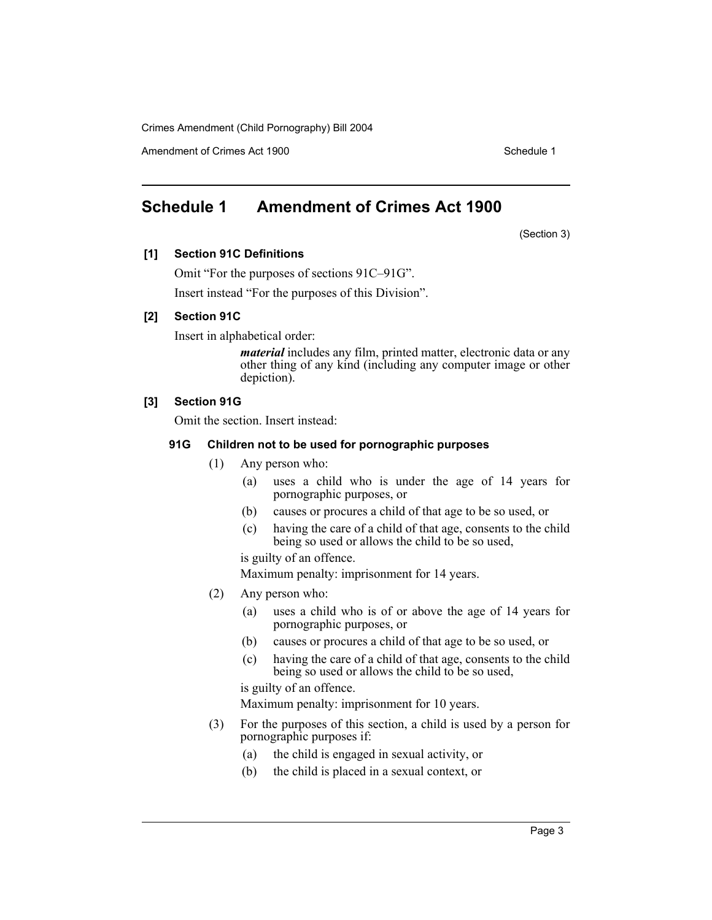Amendment of Crimes Act 1900 New York 1900 New York 1900 New York 1900

## **Schedule 1 Amendment of Crimes Act 1900**

(Section 3)

#### **[1] Section 91C Definitions**

Omit "For the purposes of sections 91C–91G".

Insert instead "For the purposes of this Division".

#### **[2] Section 91C**

Insert in alphabetical order:

*material* includes any film, printed matter, electronic data or any other thing of any kind (including any computer image or other depiction).

#### **[3] Section 91G**

Omit the section. Insert instead:

#### **91G Children not to be used for pornographic purposes**

- (1) Any person who:
	- (a) uses a child who is under the age of 14 years for pornographic purposes, or
	- (b) causes or procures a child of that age to be so used, or
	- (c) having the care of a child of that age, consents to the child being so used or allows the child to be so used,

is guilty of an offence.

Maximum penalty: imprisonment for 14 years.

- (2) Any person who:
	- (a) uses a child who is of or above the age of 14 years for pornographic purposes, or
	- (b) causes or procures a child of that age to be so used, or
	- (c) having the care of a child of that age, consents to the child being so used or allows the child to be so used,

is guilty of an offence.

Maximum penalty: imprisonment for 10 years.

- (3) For the purposes of this section, a child is used by a person for pornographic purposes if:
	- (a) the child is engaged in sexual activity, or
	- (b) the child is placed in a sexual context, or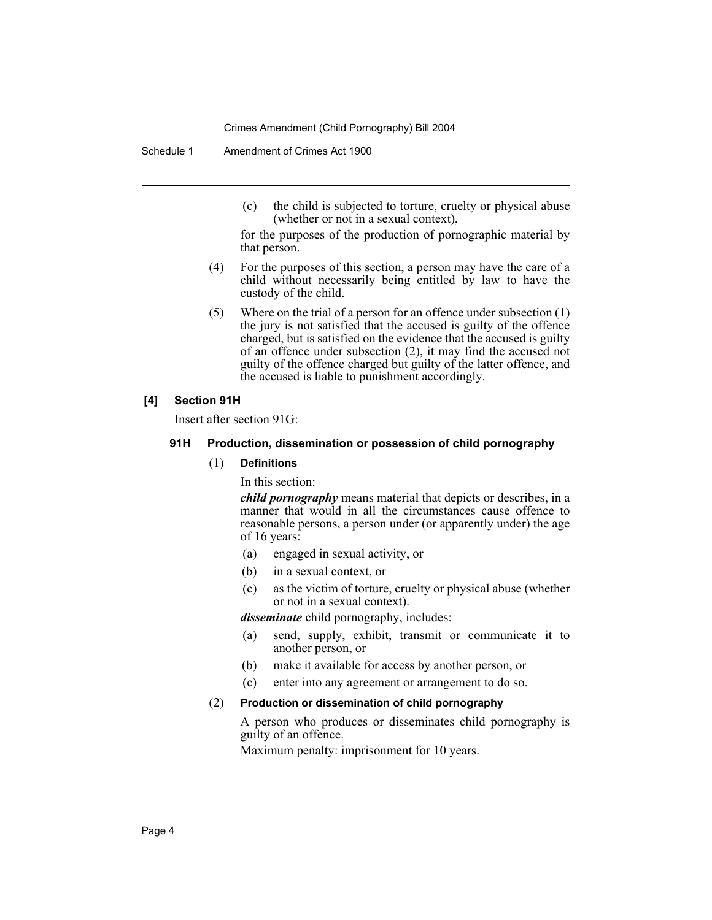Schedule 1 Amendment of Crimes Act 1900

(c) the child is subjected to torture, cruelty or physical abuse (whether or not in a sexual context),

for the purposes of the production of pornographic material by that person.

- (4) For the purposes of this section, a person may have the care of a child without necessarily being entitled by law to have the custody of the child.
- (5) Where on the trial of a person for an offence under subsection (1) the jury is not satisfied that the accused is guilty of the offence charged, but is satisfied on the evidence that the accused is guilty of an offence under subsection (2), it may find the accused not guilty of the offence charged but guilty of the latter offence, and the accused is liable to punishment accordingly.

#### **[4] Section 91H**

Insert after section 91G:

#### **91H Production, dissemination or possession of child pornography**

#### (1) **Definitions**

In this section:

*child pornography* means material that depicts or describes, in a manner that would in all the circumstances cause offence to reasonable persons, a person under (or apparently under) the age of 16 years:

- (a) engaged in sexual activity, or
- (b) in a sexual context, or
- (c) as the victim of torture, cruelty or physical abuse (whether or not in a sexual context).

*disseminate* child pornography, includes:

- (a) send, supply, exhibit, transmit or communicate it to another person, or
- (b) make it available for access by another person, or
- (c) enter into any agreement or arrangement to do so.

#### (2) **Production or dissemination of child pornography**

A person who produces or disseminates child pornography is guilty of an offence.

Maximum penalty: imprisonment for 10 years.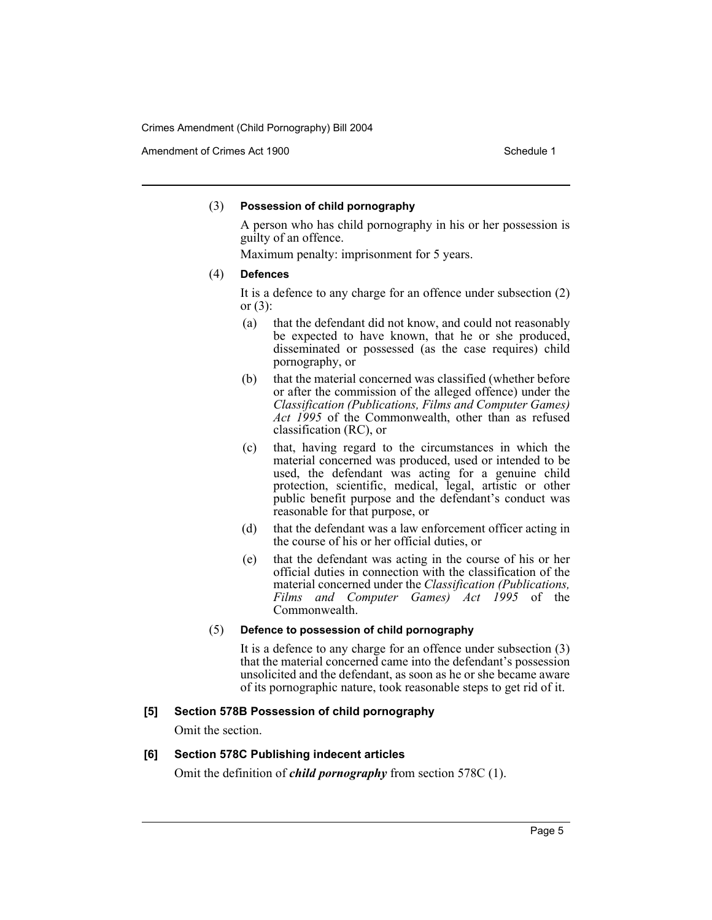Amendment of Crimes Act 1900 New York 1900 New York 1900 New York 1900

#### (3) **Possession of child pornography**

A person who has child pornography in his or her possession is guilty of an offence.

Maximum penalty: imprisonment for 5 years.

#### (4) **Defences**

It is a defence to any charge for an offence under subsection (2) or  $(3)$ :

- (a) that the defendant did not know, and could not reasonably be expected to have known, that he or she produced, disseminated or possessed (as the case requires) child pornography, or
- (b) that the material concerned was classified (whether before or after the commission of the alleged offence) under the *Classification (Publications, Films and Computer Games) Act 1995* of the Commonwealth, other than as refused classification (RC), or
- (c) that, having regard to the circumstances in which the material concerned was produced, used or intended to be used, the defendant was acting for a genuine child protection, scientific, medical, legal, artistic or other public benefit purpose and the defendant's conduct was reasonable for that purpose, or
- (d) that the defendant was a law enforcement officer acting in the course of his or her official duties, or
- (e) that the defendant was acting in the course of his or her official duties in connection with the classification of the material concerned under the *Classification (Publications, Films and Computer Games) Act 1995* of the Commonwealth.

#### (5) **Defence to possession of child pornography**

It is a defence to any charge for an offence under subsection (3) that the material concerned came into the defendant's possession unsolicited and the defendant, as soon as he or she became aware of its pornographic nature, took reasonable steps to get rid of it.

#### **[5] Section 578B Possession of child pornography**

Omit the section.

#### **[6] Section 578C Publishing indecent articles**

Omit the definition of *child pornography* from section 578C (1).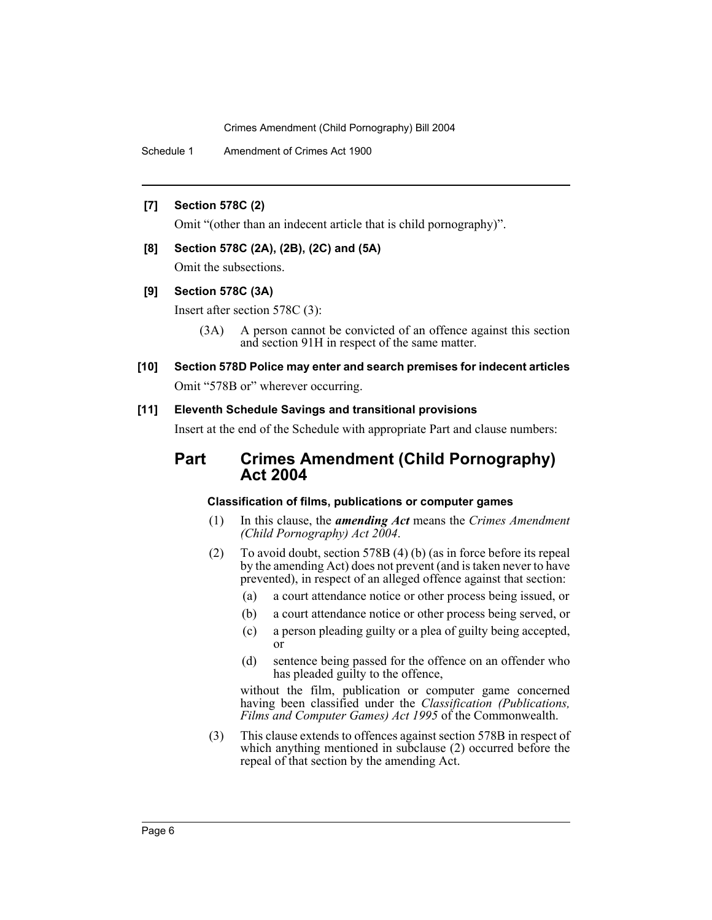Schedule 1 Amendment of Crimes Act 1900

#### **[7] Section 578C (2)**

Omit "(other than an indecent article that is child pornography)".

#### **[8] Section 578C (2A), (2B), (2C) and (5A)**

Omit the subsections.

#### **[9] Section 578C (3A)**

Insert after section 578C (3):

- (3A) A person cannot be convicted of an offence against this section and section 91H in respect of the same matter.
- **[10] Section 578D Police may enter and search premises for indecent articles** Omit "578B or" wherever occurring.

#### **[11] Eleventh Schedule Savings and transitional provisions**

Insert at the end of the Schedule with appropriate Part and clause numbers:

## **Part Crimes Amendment (Child Pornography) Act 2004**

#### **Classification of films, publications or computer games**

- (1) In this clause, the *amending Act* means the *Crimes Amendment (Child Pornography) Act 2004*.
- (2) To avoid doubt, section 578B (4) (b) (as in force before its repeal by the amending Act) does not prevent (and is taken never to have prevented), in respect of an alleged offence against that section:
	- (a) a court attendance notice or other process being issued, or
	- (b) a court attendance notice or other process being served, or
	- (c) a person pleading guilty or a plea of guilty being accepted, or
	- (d) sentence being passed for the offence on an offender who has pleaded guilty to the offence,

without the film, publication or computer game concerned having been classified under the *Classification (Publications, Films and Computer Games) Act 1995* of the Commonwealth.

(3) This clause extends to offences against section 578B in respect of which anything mentioned in subclause (2) occurred before the repeal of that section by the amending Act.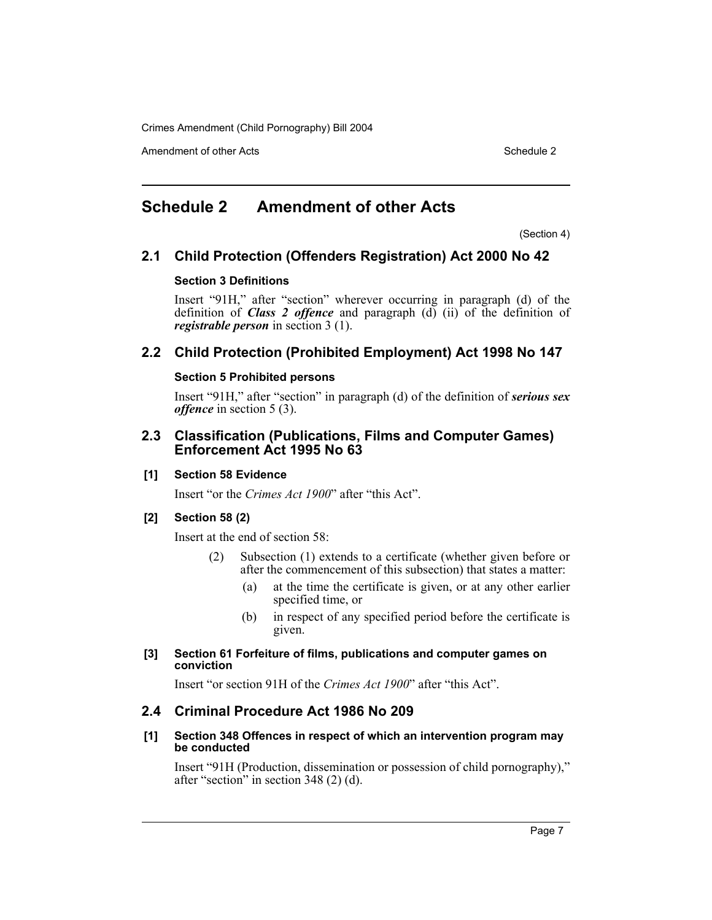Amendment of other Acts **Schedule 2** and the 2

## **Schedule 2 Amendment of other Acts**

(Section 4)

### **2.1 Child Protection (Offenders Registration) Act 2000 No 42**

#### **Section 3 Definitions**

Insert "91H," after "section" wherever occurring in paragraph (d) of the definition of *Class 2 offence* and paragraph (d) (ii) of the definition of *registrable person* in section 3 (1).

## **2.2 Child Protection (Prohibited Employment) Act 1998 No 147**

#### **Section 5 Prohibited persons**

Insert "91H," after "section" in paragraph (d) of the definition of *serious sex offence* in section 5 (3).

### **2.3 Classification (Publications, Films and Computer Games) Enforcement Act 1995 No 63**

#### **[1] Section 58 Evidence**

Insert "or the *Crimes Act 1900*" after "this Act".

#### **[2] Section 58 (2)**

Insert at the end of section 58:

- (2) Subsection (1) extends to a certificate (whether given before or after the commencement of this subsection) that states a matter:
	- (a) at the time the certificate is given, or at any other earlier specified time, or
	- (b) in respect of any specified period before the certificate is given.

#### **[3] Section 61 Forfeiture of films, publications and computer games on conviction**

Insert "or section 91H of the *Crimes Act 1900*" after "this Act".

## **2.4 Criminal Procedure Act 1986 No 209**

#### **[1] Section 348 Offences in respect of which an intervention program may be conducted**

Insert "91H (Production, dissemination or possession of child pornography)," after "section" in section 348 (2) (d).